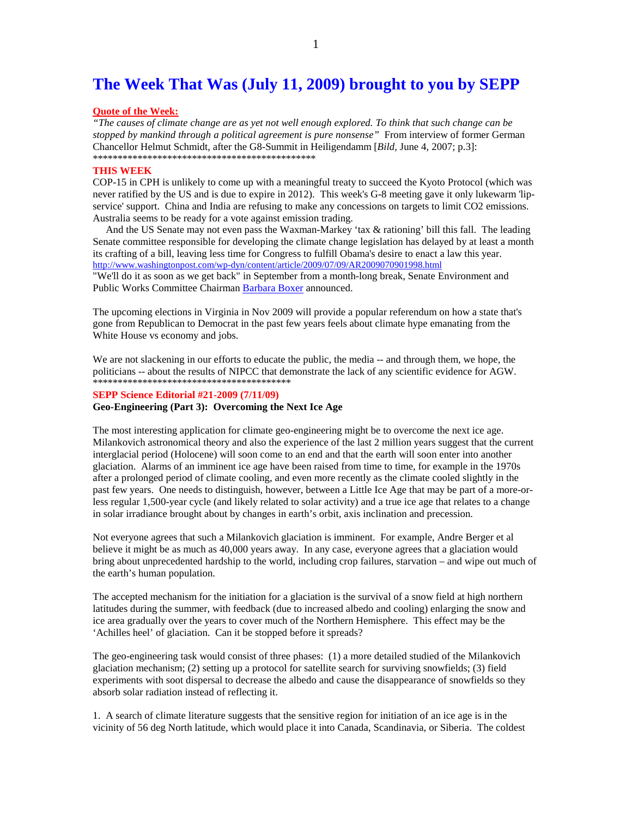## **The Week That Was (July 11, 2009) brought to you by SEPP**

### **Quote of the Week:**

*"The causes of climate change are as yet not well enough explored. To think that such change can be stopped by mankind through a political agreement is pure nonsense"* From interview of former German Chancellor Helmut Schmidt, after the G8-Summit in Heiligendamm [*Bild*, June 4, 2007; p.3]: \*\*\*\*\*\*\*\*\*\*\*\*\*\*\*\*\*\*\*\*\*\*\*\*\*\*\*\*\*\*\*\*\*\*\*\*\*\*\*\*\*\*\*\*\*

#### **THIS WEEK**

COP-15 in CPH is unlikely to come up with a meaningful treaty to succeed the Kyoto Protocol (which was never ratified by the US and is due to expire in 2012). This week's G-8 meeting gave it only lukewarm 'lipservice' support. China and India are refusing to make any concessions on targets to limit CO2 emissions. Australia seems to be ready for a vote against emission trading.

 And the US Senate may not even pass the Waxman-Markey 'tax & rationing' bill this fall. The leading Senate committee responsible for developing the climate change legislation has delayed by at least a month its crafting of a bill, leaving less time for Congress to fulfill Obama's desire to enact a law this year. http://www.washingtonpost.com/wp-dyn/content/article/2009/07/09/AR2009070901998.html

"We'll do it as soon as we get back" in September from a month-long break, Senate Environment and Public Works Committee Chairman Barbara Boxer announced.

The upcoming elections in Virginia in Nov 2009 will provide a popular referendum on how a state that's gone from Republican to Democrat in the past few years feels about climate hype emanating from the White House vs economy and jobs.

We are not slackening in our efforts to educate the public, the media -- and through them, we hope, the politicians -- about the results of NIPCC that demonstrate the lack of any scientific evidence for AGW. \*\*\*\*\*\*\*\*\*\*\*\*\*\*\*\*\*\*\*\*\*\*\*\*\*\*\*\*\*\*\*\*\*\*\*\*\*\*\*\*

## **SEPP Science Editorial #21-2009 (7/11/09)**

**Geo-Engineering (Part 3): Overcoming the Next Ice Age** 

The most interesting application for climate geo-engineering might be to overcome the next ice age. Milankovich astronomical theory and also the experience of the last 2 million years suggest that the current interglacial period (Holocene) will soon come to an end and that the earth will soon enter into another glaciation. Alarms of an imminent ice age have been raised from time to time, for example in the 1970s after a prolonged period of climate cooling, and even more recently as the climate cooled slightly in the past few years. One needs to distinguish, however, between a Little Ice Age that may be part of a more-orless regular 1,500-year cycle (and likely related to solar activity) and a true ice age that relates to a change in solar irradiance brought about by changes in earth's orbit, axis inclination and precession.

Not everyone agrees that such a Milankovich glaciation is imminent. For example, Andre Berger et al believe it might be as much as 40,000 years away. In any case, everyone agrees that a glaciation would bring about unprecedented hardship to the world, including crop failures, starvation – and wipe out much of the earth's human population.

The accepted mechanism for the initiation for a glaciation is the survival of a snow field at high northern latitudes during the summer, with feedback (due to increased albedo and cooling) enlarging the snow and ice area gradually over the years to cover much of the Northern Hemisphere. This effect may be the 'Achilles heel' of glaciation. Can it be stopped before it spreads?

The geo-engineering task would consist of three phases: (1) a more detailed studied of the Milankovich glaciation mechanism; (2) setting up a protocol for satellite search for surviving snowfields; (3) field experiments with soot dispersal to decrease the albedo and cause the disappearance of snowfields so they absorb solar radiation instead of reflecting it.

1. A search of climate literature suggests that the sensitive region for initiation of an ice age is in the vicinity of 56 deg North latitude, which would place it into Canada, Scandinavia, or Siberia. The coldest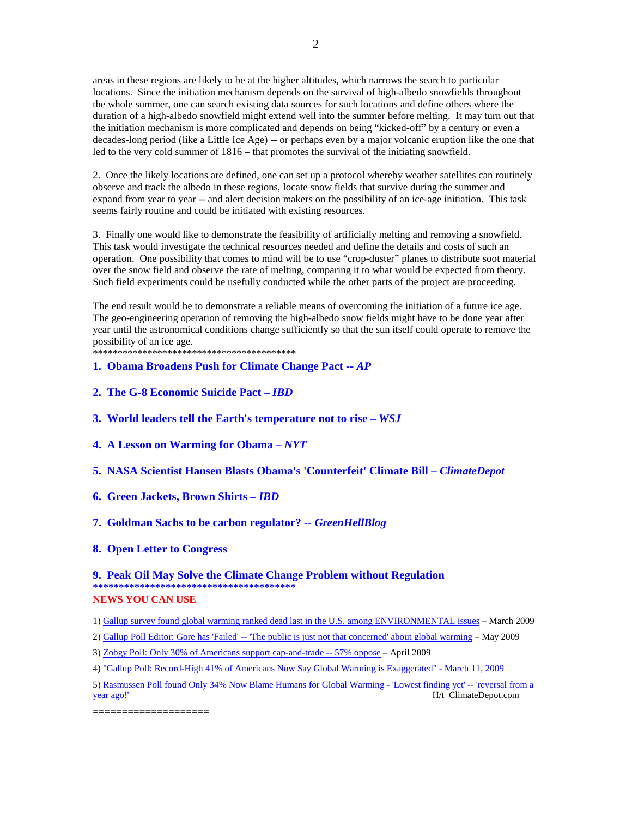areas in these regions are likely to be at the higher altitudes, which narrows the search to particular locations. Since the initiation mechanism depends on the survival of high-albedo snowfields throughout the whole summer, one can search existing data sources for such locations and define others where the duration of a high-albedo snowfield might extend well into the summer before melting. It may turn out that the initiation mechanism is more complicated and depends on being "kicked-off" by a century or even a decades-long period (like a Little Ice Age) -- or perhaps even by a major volcanic eruption like the one that led to the very cold summer of 1816 – that promotes the survival of the initiating snowfield.

2

2. Once the likely locations are defined, one can set up a protocol whereby weather satellites can routinely observe and track the albedo in these regions, locate snow fields that survive during the summer and expand from year to year -- and alert decision makers on the possibility of an ice-age initiation. This task seems fairly routine and could be initiated with existing resources.

3. Finally one would like to demonstrate the feasibility of artificially melting and removing a snowfield. This task would investigate the technical resources needed and define the details and costs of such an operation. One possibility that comes to mind will be to use "crop-duster" planes to distribute soot material over the snow field and observe the rate of melting, comparing it to what would be expected from theory. Such field experiments could be usefully conducted while the other parts of the project are proceeding.

The end result would be to demonstrate a reliable means of overcoming the initiation of a future ice age. The geo-engineering operation of removing the high-albedo snow fields might have to be done year after year until the astronomical conditions change sufficiently so that the sun itself could operate to remove the possibility of an ice age.

\*\*\*\*\*\*\*\*\*\*\*\*\*\*\*\*\*\*\*\*\*\*\*\*\*\*\*\*\*\*\*\*\*\*\*\*\*\*\*\*\*

## **1. Obama Broadens Push for Climate Change Pact --** *AP*

- **2. The G-8 Economic Suicide Pact** *IBD*
- **3. World leaders tell the Earth's temperature not to rise** *WSJ*
- **4. A Lesson on Warming for Obama** *NYT*
- **5. NASA Scientist Hansen Blasts Obama's 'Counterfeit' Climate Bill** *ClimateDepot*
- **6. Green Jackets, Brown Shirts** *IBD*

## **7. Goldman Sachs to be carbon regulator? --** *GreenHellBlog*

**8. Open Letter to Congress** 

## **9. Peak Oil May Solve the Climate Change Problem without Regulation \*\*\*\*\*\*\*\*\*\*\*\*\*\*\*\*\*\*\*\*\*\*\*\*\*\*\*\*\*\*\*\*\*\*\*\*\*\*\* NEWS YOU CAN USE**

1) Gallup survey found global warming ranked dead last in the U.S. among ENVIRONMENTAL issues – March 2009

- 2) Gallup Poll Editor: Gore has 'Failed' -- 'The public is just not that concerned' about global warming May 2009
- 3) Zobgy Poll: Only 30% of Americans support cap-and-trade -- 57% oppose April 2009
- 4) "Gallup Poll: Record-High 41% of Americans Now Say Global Warming is Exaggerated" March 11, 2009
- 5) Rasmussen Poll found Only 34% Now Blame Humans for Global Warming 'Lowest finding yet' -- 'reversal from a year ago!' H/t ClimateDepot.com

====================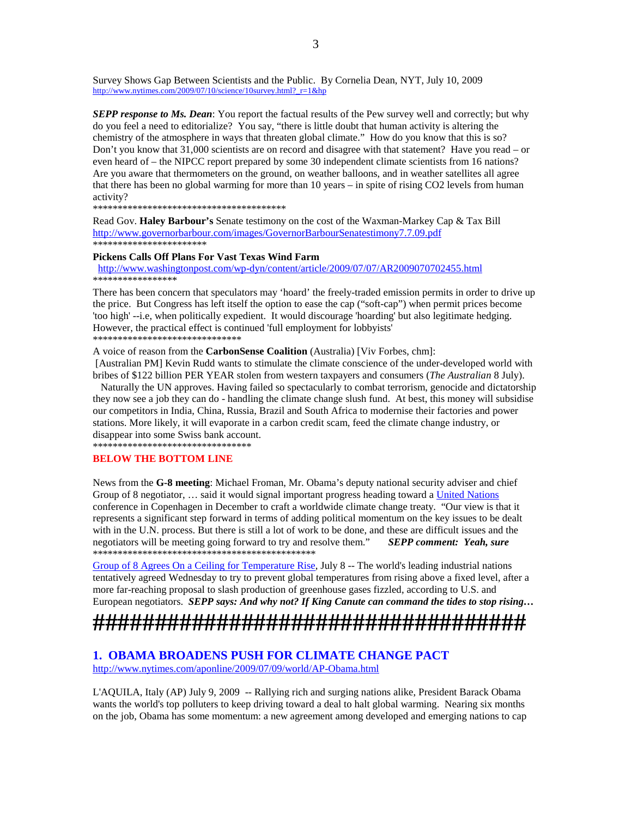Survey Shows Gap Between Scientists and the Public. By Cornelia Dean, NYT, July 10, 2009 http://www.nytimes.com/2009/07/10/science/10survey.html?\_r=1&hp

**SEPP response to Ms. Dean**: You report the factual results of the Pew survey well and correctly; but why do you feel a need to editorialize? You say, "there is little doubt that human activity is altering the chemistry of the atmosphere in ways that threaten global climate." How do you know that this is so? Don't you know that 31,000 scientists are on record and disagree with that statement? Have you read – or even heard of – the NIPCC report prepared by some 30 independent climate scientists from 16 nations? Are you aware that thermometers on the ground, on weather balloons, and in weather satellites all agree that there has been no global warming for more than 10 years – in spite of rising CO2 levels from human activity?

\*\*\*\*\*\*\*\*\*\*\*\*\*\*\*\*\*\*\*\*\*\*\*\*\*\*\*\*\*\*\*\*\*\*\*\*\*\*\*

Read Gov. **Haley Barbour's** Senate testimony on the cost of the Waxman-Markey Cap & Tax Bill http://www.governorbarbour.com/images/GovernorBarbourSenatestimony7.7.09.pdf \*\*\*\*\*\*\*\*\*\*\*\*\*\*\*\*\*\*\*\*\*\*\*

#### **Pickens Calls Off Plans For Vast Texas Wind Farm**

 http://www.washingtonpost.com/wp-dyn/content/article/2009/07/07/AR2009070702455.html **\*\*\*\*\*\*\*\*\*\*\*\*\*\*\*\*\*** 

There has been concern that speculators may 'hoard' the freely-traded emission permits in order to drive up the price. But Congress has left itself the option to ease the cap ("soft-cap") when permit prices become 'too high' --i.e, when politically expedient. It would discourage 'hoarding' but also legitimate hedging. However, the practical effect is continued 'full employment for lobbyists' \*\*\*\*\*\*\*\*\*\*\*\*\*\*\*\*\*\*\*\*\*\*\*\*\*\*\*\*\*\*

A voice of reason from the **CarbonSense Coalition** (Australia) [Viv Forbes, chm]:

 [Australian PM] Kevin Rudd wants to stimulate the climate conscience of the under-developed world with bribes of \$122 billion PER YEAR stolen from western taxpayers and consumers (*The Australian* 8 July).

 Naturally the UN approves. Having failed so spectacularly to combat terrorism, genocide and dictatorship they now see a job they can do - handling the climate change slush fund. At best, this money will subsidise our competitors in India, China, Russia, Brazil and South Africa to modernise their factories and power stations. More likely, it will evaporate in a carbon credit scam, feed the climate change industry, or disappear into some Swiss bank account.

\*\*\*\*\*\*\*\*\*\*\*\*\*\*\*\*\*\*\*\*\*\*\*\*\*\*\*\*\*\*\*\*

## **BELOW THE BOTTOM LINE**

News from the **G-8 meeting**: Michael Froman, Mr. Obama's deputy national security adviser and chief Group of 8 negotiator, ... said it would signal important progress heading toward a United Nations conference in Copenhagen in December to craft a worldwide climate change treaty. "Our view is that it represents a significant step forward in terms of adding political momentum on the key issues to be dealt with in the U.N. process. But there is still a lot of work to be done, and these are difficult issues and the negotiators will be meeting going forward to try and resolve them." *SEPP comment: Yeah, sure* \*\*\*\*\*\*\*\*\*\*\*\*\*\*\*\*\*\*\*\*\*\*\*\*\*\*\*\*\*\*\*\*\*\*\*\*\*\*\*\*\*\*\*\*\*

Group of 8 Agrees On a Ceiling for Temperature Rise, July 8 -- The world's leading industrial nations tentatively agreed Wednesday to try to prevent global temperatures from rising above a fixed level, after a more far-reaching proposal to slash production of greenhouse gases fizzled, according to U.S. and European negotiators. *SEPP says: And why not? If King Canute can command the tides to stop rising…*

# **###################################**

## **1. OBAMA BROADENS PUSH FOR CLIMATE CHANGE PACT**  http://www.nytimes.com/aponline/2009/07/09/world/AP-Obama.html

L'AQUILA, Italy (AP) July 9, 2009 -- Rallying rich and surging nations alike, President Barack Obama wants the world's top polluters to keep driving toward a deal to halt global warming. Nearing six months on the job, Obama has some momentum: a new agreement among developed and emerging nations to cap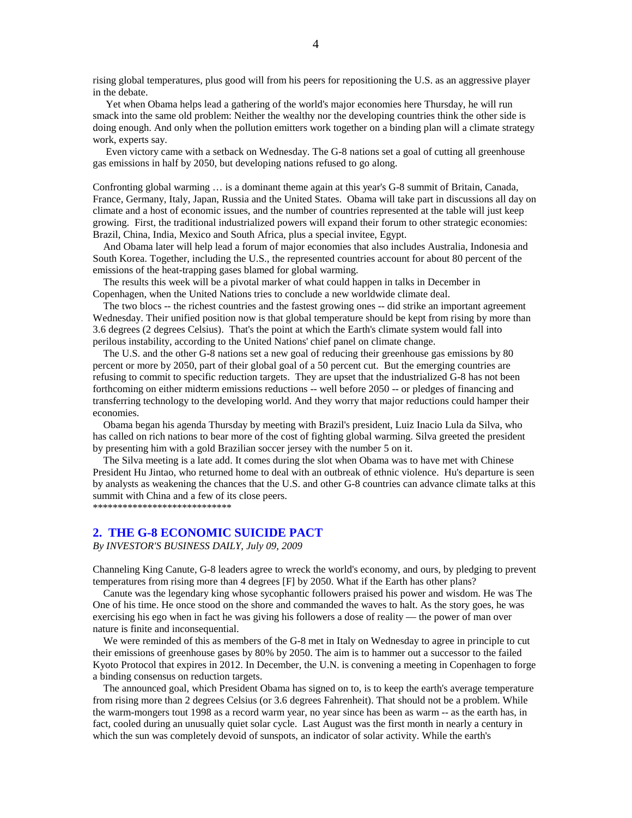rising global temperatures, plus good will from his peers for repositioning the U.S. as an aggressive player in the debate.

 Yet when Obama helps lead a gathering of the world's major economies here Thursday, he will run smack into the same old problem: Neither the wealthy nor the developing countries think the other side is doing enough. And only when the pollution emitters work together on a binding plan will a climate strategy work, experts say.

 Even victory came with a setback on Wednesday. The G-8 nations set a goal of cutting all greenhouse gas emissions in half by 2050, but developing nations refused to go along.

Confronting global warming … is a dominant theme again at this year's G-8 summit of Britain, Canada, France, Germany, Italy, Japan, Russia and the United States. Obama will take part in discussions all day on climate and a host of economic issues, and the number of countries represented at the table will just keep growing. First, the traditional industrialized powers will expand their forum to other strategic economies: Brazil, China, India, Mexico and South Africa, plus a special invitee, Egypt.

 And Obama later will help lead a forum of major economies that also includes Australia, Indonesia and South Korea. Together, including the U.S., the represented countries account for about 80 percent of the emissions of the heat-trapping gases blamed for global warming.

 The results this week will be a pivotal marker of what could happen in talks in December in Copenhagen, when the United Nations tries to conclude a new worldwide climate deal.

 The two blocs -- the richest countries and the fastest growing ones -- did strike an important agreement Wednesday. Their unified position now is that global temperature should be kept from rising by more than 3.6 degrees (2 degrees Celsius). That's the point at which the Earth's climate system would fall into perilous instability, according to the United Nations' chief panel on climate change.

 The U.S. and the other G-8 nations set a new goal of reducing their greenhouse gas emissions by 80 percent or more by 2050, part of their global goal of a 50 percent cut. But the emerging countries are refusing to commit to specific reduction targets. They are upset that the industrialized G-8 has not been forthcoming on either midterm emissions reductions -- well before 2050 -- or pledges of financing and transferring technology to the developing world. And they worry that major reductions could hamper their economies.

 Obama began his agenda Thursday by meeting with Brazil's president, Luiz Inacio Lula da Silva, who has called on rich nations to bear more of the cost of fighting global warming. Silva greeted the president by presenting him with a gold Brazilian soccer jersey with the number 5 on it.

 The Silva meeting is a late add. It comes during the slot when Obama was to have met with Chinese President Hu Jintao, who returned home to deal with an outbreak of ethnic violence. Hu's departure is seen by analysts as weakening the chances that the U.S. and other G-8 countries can advance climate talks at this summit with China and a few of its close peers.

\*\*\*\*\*\*\*\*\*\*\*\*\*\*\*\*\*\*\*\*\*\*\*\*\*\*\*\*

## **2. THE G-8 ECONOMIC SUICIDE PACT**

*By INVESTOR'S BUSINESS DAILY, July 09, 2009* 

Channeling King Canute, G-8 leaders agree to wreck the world's economy, and ours, by pledging to prevent temperatures from rising more than 4 degrees [F] by 2050. What if the Earth has other plans?

 Canute was the legendary king whose sycophantic followers praised his power and wisdom. He was The One of his time. He once stood on the shore and commanded the waves to halt. As the story goes, he was exercising his ego when in fact he was giving his followers a dose of reality — the power of man over nature is finite and inconsequential.

 We were reminded of this as members of the G-8 met in Italy on Wednesday to agree in principle to cut their emissions of greenhouse gases by 80% by 2050. The aim is to hammer out a successor to the failed Kyoto Protocol that expires in 2012. In December, the U.N. is convening a meeting in Copenhagen to forge a binding consensus on reduction targets.

 The announced goal, which President Obama has signed on to, is to keep the earth's average temperature from rising more than 2 degrees Celsius (or 3.6 degrees Fahrenheit). That should not be a problem. While the warm-mongers tout 1998 as a record warm year, no year since has been as warm -- as the earth has, in fact, cooled during an unusually quiet solar cycle. Last August was the first month in nearly a century in which the sun was completely devoid of sunspots, an indicator of solar activity. While the earth's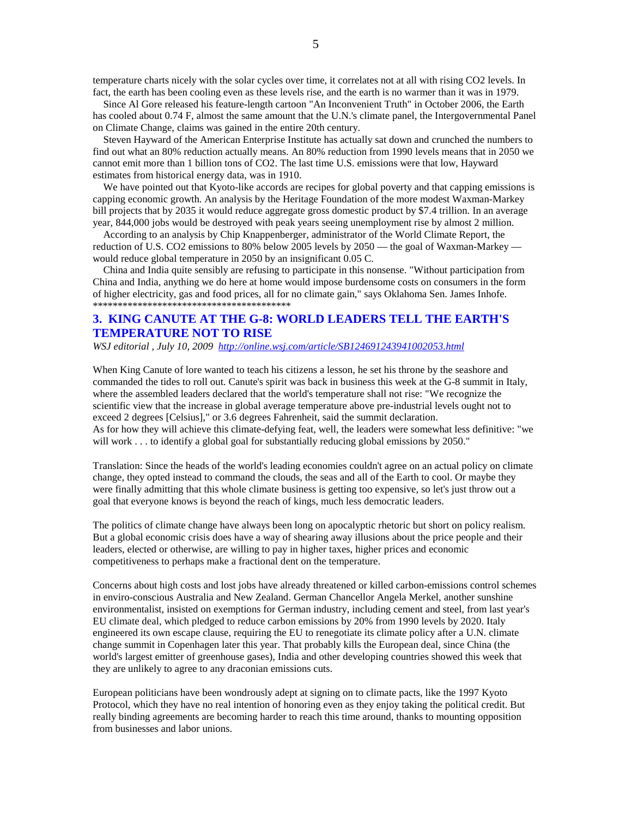temperature charts nicely with the solar cycles over time, it correlates not at all with rising CO2 levels. In fact, the earth has been cooling even as these levels rise, and the earth is no warmer than it was in 1979.

 Since Al Gore released his feature-length cartoon "An Inconvenient Truth" in October 2006, the Earth has cooled about 0.74 F, almost the same amount that the U.N.'s climate panel, the Intergovernmental Panel on Climate Change, claims was gained in the entire 20th century.

 Steven Hayward of the American Enterprise Institute has actually sat down and crunched the numbers to find out what an 80% reduction actually means. An 80% reduction from 1990 levels means that in 2050 we cannot emit more than 1 billion tons of CO2. The last time U.S. emissions were that low, Hayward estimates from historical energy data, was in 1910.

We have pointed out that Kyoto-like accords are recipes for global poverty and that capping emissions is capping economic growth. An analysis by the Heritage Foundation of the more modest Waxman-Markey bill projects that by 2035 it would reduce aggregate gross domestic product by \$7.4 trillion. In an average year, 844,000 jobs would be destroyed with peak years seeing unemployment rise by almost 2 million.

 According to an analysis by Chip Knappenberger, administrator of the World Climate Report, the reduction of U.S. CO2 emissions to 80% below 2005 levels by 2050 — the goal of Waxman-Markey would reduce global temperature in 2050 by an insignificant 0.05 C.

 China and India quite sensibly are refusing to participate in this nonsense. "Without participation from China and India, anything we do here at home would impose burdensome costs on consumers in the form of higher electricity, gas and food prices, all for no climate gain," says Oklahoma Sen. James Inhofe. \*\*\*\*\*\*\*\*\*\*\*\*\*\*\*\*\*\*\*\*\*\*\*\*\*\*\*\*\*\*\*\*\*\*\*\*\*\*\*\*

## **3. KING CANUTE AT THE G-8: WORLD LEADERS TELL THE EARTH'S TEMPERATURE NOT TO RISE**

*WSJ editorial , July 10, 2009 http://online.wsj.com/article/SB124691243941002053.html* 

When King Canute of lore wanted to teach his citizens a lesson, he set his throne by the seashore and commanded the tides to roll out. Canute's spirit was back in business this week at the G-8 summit in Italy, where the assembled leaders declared that the world's temperature shall not rise: "We recognize the scientific view that the increase in global average temperature above pre-industrial levels ought not to exceed 2 degrees [Celsius]," or 3.6 degrees Fahrenheit, said the summit declaration. As for how they will achieve this climate-defying feat, well, the leaders were somewhat less definitive: "we will work . . . to identify a global goal for substantially reducing global emissions by 2050."

Translation: Since the heads of the world's leading economies couldn't agree on an actual policy on climate change, they opted instead to command the clouds, the seas and all of the Earth to cool. Or maybe they were finally admitting that this whole climate business is getting too expensive, so let's just throw out a goal that everyone knows is beyond the reach of kings, much less democratic leaders.

The politics of climate change have always been long on apocalyptic rhetoric but short on policy realism. But a global economic crisis does have a way of shearing away illusions about the price people and their leaders, elected or otherwise, are willing to pay in higher taxes, higher prices and economic competitiveness to perhaps make a fractional dent on the temperature.

Concerns about high costs and lost jobs have already threatened or killed carbon-emissions control schemes in enviro-conscious Australia and New Zealand. German Chancellor Angela Merkel, another sunshine environmentalist, insisted on exemptions for German industry, including cement and steel, from last year's EU climate deal, which pledged to reduce carbon emissions by 20% from 1990 levels by 2020. Italy engineered its own escape clause, requiring the EU to renegotiate its climate policy after a U.N. climate change summit in Copenhagen later this year. That probably kills the European deal, since China (the world's largest emitter of greenhouse gases), India and other developing countries showed this week that they are unlikely to agree to any draconian emissions cuts.

European politicians have been wondrously adept at signing on to climate pacts, like the 1997 Kyoto Protocol, which they have no real intention of honoring even as they enjoy taking the political credit. But really binding agreements are becoming harder to reach this time around, thanks to mounting opposition from businesses and labor unions.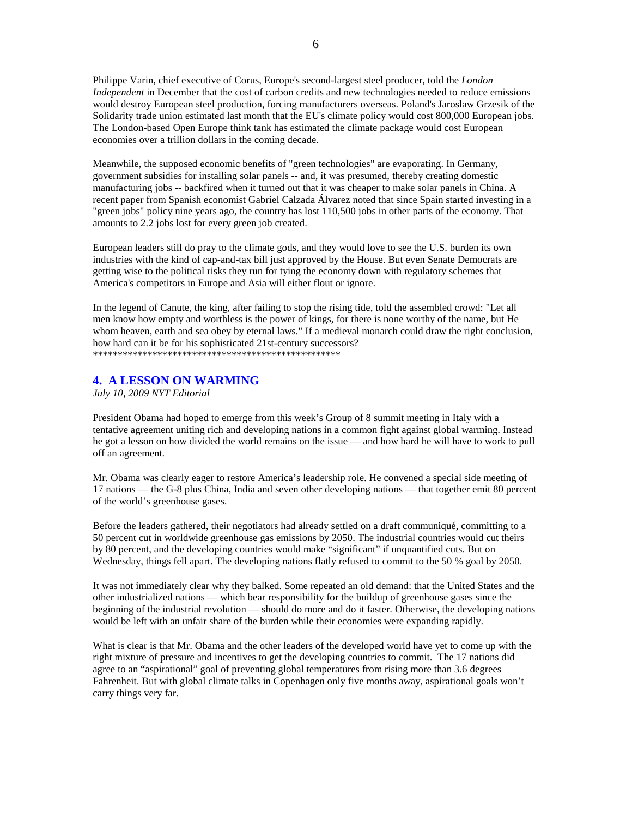Philippe Varin, chief executive of Corus, Europe's second-largest steel producer, told the *London Independent* in December that the cost of carbon credits and new technologies needed to reduce emissions would destroy European steel production, forcing manufacturers overseas. Poland's Jaroslaw Grzesik of the Solidarity trade union estimated last month that the EU's climate policy would cost 800,000 European jobs. The London-based Open Europe think tank has estimated the climate package would cost European economies over a trillion dollars in the coming decade.

Meanwhile, the supposed economic benefits of "green technologies" are evaporating. In Germany, government subsidies for installing solar panels -- and, it was presumed, thereby creating domestic manufacturing jobs -- backfired when it turned out that it was cheaper to make solar panels in China. A recent paper from Spanish economist Gabriel Calzada Álvarez noted that since Spain started investing in a "green jobs" policy nine years ago, the country has lost 110,500 jobs in other parts of the economy. That amounts to 2.2 jobs lost for every green job created.

European leaders still do pray to the climate gods, and they would love to see the U.S. burden its own industries with the kind of cap-and-tax bill just approved by the House. But even Senate Democrats are getting wise to the political risks they run for tying the economy down with regulatory schemes that America's competitors in Europe and Asia will either flout or ignore.

In the legend of Canute, the king, after failing to stop the rising tide, told the assembled crowd: "Let all men know how empty and worthless is the power of kings, for there is none worthy of the name, but He whom heaven, earth and sea obey by eternal laws." If a medieval monarch could draw the right conclusion, how hard can it be for his sophisticated 21st-century successors? \*\*\*\*\*\*\*\*\*\*\*\*\*\*\*\*\*\*\*\*\*\*\*\*\*\*\*\*\*\*\*\*\*\*\*\*\*\*\*\*\*\*\*\*\*\*\*\*\*\*

## **4. A LESSON ON WARMING**

*July 10, 2009 NYT Editorial* 

President Obama had hoped to emerge from this week's Group of 8 summit meeting in Italy with a tentative agreement uniting rich and developing nations in a common fight against global warming. Instead he got a lesson on how divided the world remains on the issue — and how hard he will have to work to pull off an agreement.

Mr. Obama was clearly eager to restore America's leadership role. He convened a special side meeting of 17 nations — the G-8 plus China, India and seven other developing nations — that together emit 80 percent of the world's greenhouse gases.

Before the leaders gathered, their negotiators had already settled on a draft communiqué, committing to a 50 percent cut in worldwide greenhouse gas emissions by 2050. The industrial countries would cut theirs by 80 percent, and the developing countries would make "significant" if unquantified cuts. But on Wednesday, things fell apart. The developing nations flatly refused to commit to the 50 % goal by 2050.

It was not immediately clear why they balked. Some repeated an old demand: that the United States and the other industrialized nations — which bear responsibility for the buildup of greenhouse gases since the beginning of the industrial revolution — should do more and do it faster. Otherwise, the developing nations would be left with an unfair share of the burden while their economies were expanding rapidly.

What is clear is that Mr. Obama and the other leaders of the developed world have yet to come up with the right mixture of pressure and incentives to get the developing countries to commit. The 17 nations did agree to an "aspirational" goal of preventing global temperatures from rising more than 3.6 degrees Fahrenheit. But with global climate talks in Copenhagen only five months away, aspirational goals won't carry things very far.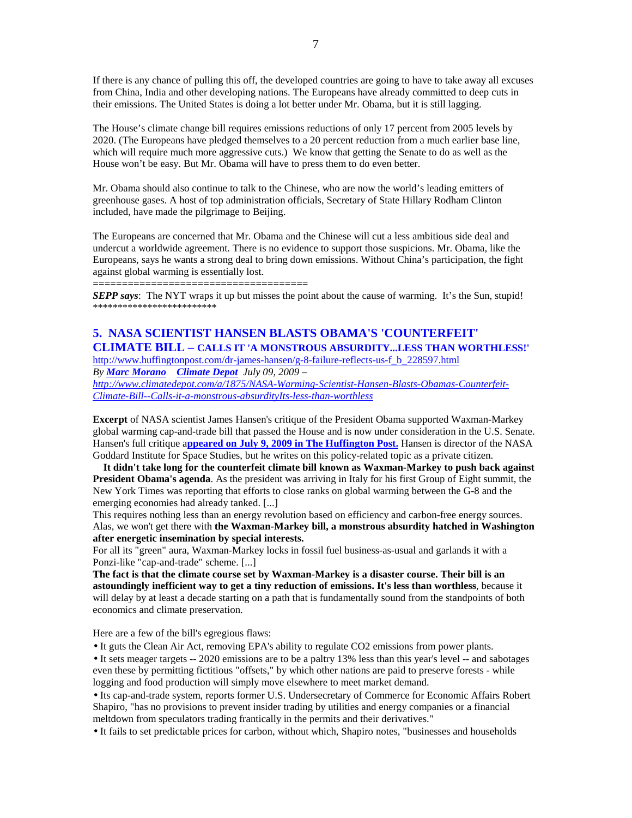If there is any chance of pulling this off, the developed countries are going to have to take away all excuses from China, India and other developing nations. The Europeans have already committed to deep cuts in their emissions. The United States is doing a lot better under Mr. Obama, but it is still lagging.

The House's climate change bill requires emissions reductions of only 17 percent from 2005 levels by 2020. (The Europeans have pledged themselves to a 20 percent reduction from a much earlier base line, which will require much more aggressive cuts.) We know that getting the Senate to do as well as the House won't be easy. But Mr. Obama will have to press them to do even better.

Mr. Obama should also continue to talk to the Chinese, who are now the world's leading emitters of greenhouse gases. A host of top administration officials, Secretary of State Hillary Rodham Clinton included, have made the pilgrimage to Beijing.

The Europeans are concerned that Mr. Obama and the Chinese will cut a less ambitious side deal and undercut a worldwide agreement. There is no evidence to support those suspicions. Mr. Obama, like the Europeans, says he wants a strong deal to bring down emissions. Without China's participation, the fight against global warming is essentially lost.

=====================================

*SEPP says*: The NYT wraps it up but misses the point about the cause of warming. It's the Sun, stupid! \*\*\*\*\*\*\*\*\*\*\*\*\*\*\*\*\*\*\*\*\*\*\*\*\*

## **5. NASA SCIENTIST HANSEN BLASTS OBAMA'S 'COUNTERFEIT'**

**CLIMATE BILL – CALLS IT 'A MONSTROUS ABSURDITY...LESS THAN WORTHLESS!'**  http://www.huffingtonpost.com/dr-james-hansen/g-8-failure-reflects-us-f\_b\_228597.html

*By Marc Morano Climate Depot July 09, 2009 – http://www.climatedepot.com/a/1875/NASA-Warming-Scientist-Hansen-Blasts-Obamas-Counterfeit-*

*Climate-Bill--Calls-it-a-monstrous-absurdityIts-less-than-worthless*

**Excerpt** of NASA scientist James Hansen's critique of the President Obama supported Waxman-Markey global warming cap-and-trade bill that passed the House and is now under consideration in the U.S. Senate. Hansen's full critique a**ppeared on July 9, 2009 in The Huffington Post.** Hansen is director of the NASA Goddard Institute for Space Studies, but he writes on this policy-related topic as a private citizen.

 **It didn't take long for the counterfeit climate bill known as Waxman-Markey to push back against President Obama's agenda**. As the president was arriving in Italy for his first Group of Eight summit, the New York Times was reporting that efforts to close ranks on global warming between the G-8 and the emerging economies had already tanked. [...]

This requires nothing less than an energy revolution based on efficiency and carbon-free energy sources. Alas, we won't get there with **the Waxman-Markey bill, a monstrous absurdity hatched in Washington after energetic insemination by special interests.** 

For all its "green" aura, Waxman-Markey locks in fossil fuel business-as-usual and garlands it with a Ponzi-like "cap-and-trade" scheme. [...]

**The fact is that the climate course set by Waxman-Markey is a disaster course. Their bill is an astoundingly inefficient way to get a tiny reduction of emissions. It's less than worthless**, because it will delay by at least a decade starting on a path that is fundamentally sound from the standpoints of both economics and climate preservation.

Here are a few of the bill's egregious flaws:

• It guts the Clean Air Act, removing EPA's ability to regulate CO2 emissions from power plants.

• It sets meager targets -- 2020 emissions are to be a paltry 13% less than this year's level -- and sabotages even these by permitting fictitious "offsets," by which other nations are paid to preserve forests - while logging and food production will simply move elsewhere to meet market demand.

• Its cap-and-trade system, reports former U.S. Undersecretary of Commerce for Economic Affairs Robert Shapiro, "has no provisions to prevent insider trading by utilities and energy companies or a financial meltdown from speculators trading frantically in the permits and their derivatives."

• It fails to set predictable prices for carbon, without which, Shapiro notes, "businesses and households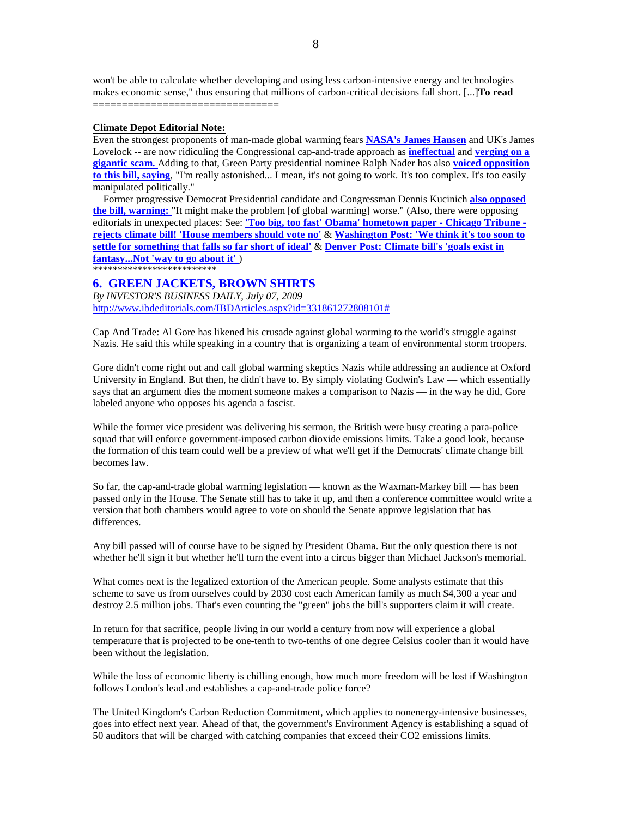won't be able to calculate whether developing and using less carbon-intensive energy and technologies makes economic sense," thus ensuring that millions of carbon-critical decisions fall short. [...]**To read ================================** 

## **Climate Depot Editorial Note:**

Even the strongest proponents of man-made global warming fears **NASA's James Hansen** and UK's James Lovelock -- are now ridiculing the Congressional cap-and-trade approach as **ineffectual** and **verging on a gigantic scam.** Adding to that, Green Party presidential nominee Ralph Nader has also **voiced opposition to this bill, saying**, "I'm really astonished... I mean, it's not going to work. It's too complex. It's too easily manipulated politically."

 Former progressive Democrat Presidential candidate and Congressman Dennis Kucinich **also opposed the bill, warning:** "It might make the problem [of global warming] worse." (Also, there were opposing editorials in unexpected places: See: **'Too big, too fast' Obama' hometown paper - Chicago Tribune rejects climate bill! 'House members should vote no'** & **Washington Post: 'We think it's too soon to settle for something that falls so far short of ideal'** & **Denver Post: Climate bill's 'goals exist in fantasy...Not 'way to go about it'** ) \*\*\*\*\*\*\*\*\*\*\*\*\*\*\*\*\*\*\*\*\*\*\*\*

## **6. GREEN JACKETS, BROWN SHIRTS**

*By INVESTOR'S BUSINESS DAILY, July 07, 2009*  http://www.ibdeditorials.com/IBDArticles.aspx?id=331861272808101#

Cap And Trade: Al Gore has likened his crusade against global warming to the world's struggle against Nazis. He said this while speaking in a country that is organizing a team of environmental storm troopers.

Gore didn't come right out and call global warming skeptics Nazis while addressing an audience at Oxford University in England. But then, he didn't have to. By simply violating Godwin's Law — which essentially says that an argument dies the moment someone makes a comparison to Nazis — in the way he did, Gore labeled anyone who opposes his agenda a fascist.

While the former vice president was delivering his sermon, the British were busy creating a para-police squad that will enforce government-imposed carbon dioxide emissions limits. Take a good look, because the formation of this team could well be a preview of what we'll get if the Democrats' climate change bill becomes law.

So far, the cap-and-trade global warming legislation — known as the Waxman-Markey bill — has been passed only in the House. The Senate still has to take it up, and then a conference committee would write a version that both chambers would agree to vote on should the Senate approve legislation that has differences.

Any bill passed will of course have to be signed by President Obama. But the only question there is not whether he'll sign it but whether he'll turn the event into a circus bigger than Michael Jackson's memorial.

What comes next is the legalized extortion of the American people. Some analysts estimate that this scheme to save us from ourselves could by 2030 cost each American family as much \$4,300 a year and destroy 2.5 million jobs. That's even counting the "green" jobs the bill's supporters claim it will create.

In return for that sacrifice, people living in our world a century from now will experience a global temperature that is projected to be one-tenth to two-tenths of one degree Celsius cooler than it would have been without the legislation.

While the loss of economic liberty is chilling enough, how much more freedom will be lost if Washington follows London's lead and establishes a cap-and-trade police force?

The United Kingdom's Carbon Reduction Commitment, which applies to nonenergy-intensive businesses, goes into effect next year. Ahead of that, the government's Environment Agency is establishing a squad of 50 auditors that will be charged with catching companies that exceed their CO2 emissions limits.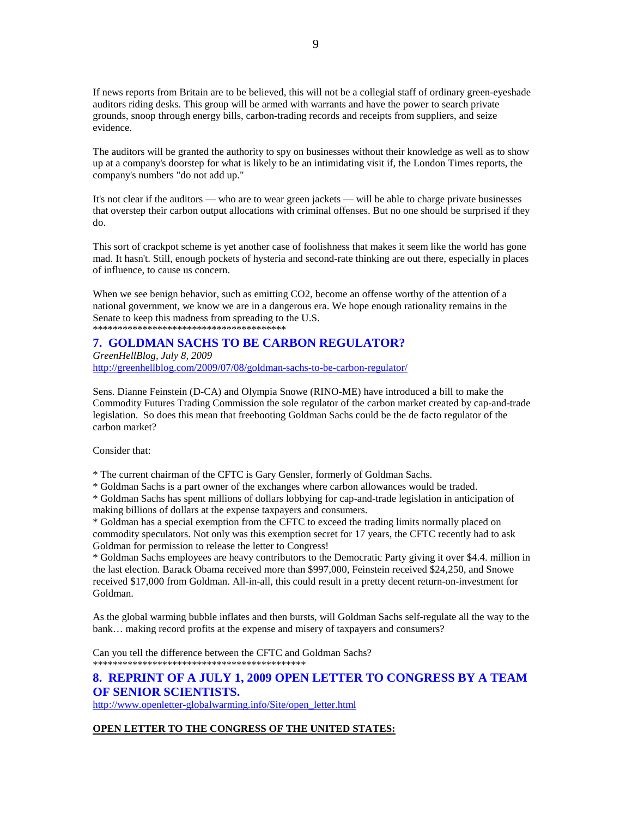If news reports from Britain are to be believed, this will not be a collegial staff of ordinary green-eyeshade auditors riding desks. This group will be armed with warrants and have the power to search private grounds, snoop through energy bills, carbon-trading records and receipts from suppliers, and seize evidence.

The auditors will be granted the authority to spy on businesses without their knowledge as well as to show up at a company's doorstep for what is likely to be an intimidating visit if, the London Times reports, the company's numbers "do not add up."

It's not clear if the auditors — who are to wear green jackets — will be able to charge private businesses that overstep their carbon output allocations with criminal offenses. But no one should be surprised if they do.

This sort of crackpot scheme is yet another case of foolishness that makes it seem like the world has gone mad. It hasn't. Still, enough pockets of hysteria and second-rate thinking are out there, especially in places of influence, to cause us concern.

When we see benign behavior, such as emitting CO2, become an offense worthy of the attention of a national government, we know we are in a dangerous era. We hope enough rationality remains in the Senate to keep this madness from spreading to the U.S. \*\*\*\*\*\*\*\*\*\*\*\*\*\*\*\*\*\*\*\*\*\*\*\*\*\*\*\*\*\*\*\*\*\*\*\*\*\*\*

## **7. GOLDMAN SACHS TO BE CARBON REGULATOR?**

*GreenHellBlog, July 8, 2009*  http://greenhellblog.com/2009/07/08/goldman-sachs-to-be-carbon-regulator/

Sens. Dianne Feinstein (D-CA) and Olympia Snowe (RINO-ME) have introduced a bill to make the Commodity Futures Trading Commission the sole regulator of the carbon market created by cap-and-trade legislation. So does this mean that freebooting Goldman Sachs could be the de facto regulator of the carbon market?

Consider that:

\* The current chairman of the CFTC is Gary Gensler, formerly of Goldman Sachs.

\* Goldman Sachs is a part owner of the exchanges where carbon allowances would be traded.

\* Goldman Sachs has spent millions of dollars lobbying for cap-and-trade legislation in anticipation of making billions of dollars at the expense taxpayers and consumers.

\* Goldman has a special exemption from the CFTC to exceed the trading limits normally placed on commodity speculators. Not only was this exemption secret for 17 years, the CFTC recently had to ask Goldman for permission to release the letter to Congress!

\* Goldman Sachs employees are heavy contributors to the Democratic Party giving it over \$4.4. million in the last election. Barack Obama received more than \$997,000, Feinstein received \$24,250, and Snowe received \$17,000 from Goldman. All-in-all, this could result in a pretty decent return-on-investment for Goldman.

As the global warming bubble inflates and then bursts, will Goldman Sachs self-regulate all the way to the bank… making record profits at the expense and misery of taxpayers and consumers?

Can you tell the difference between the CFTC and Goldman Sachs? \*\*\*\*\*\*\*\*\*\*\*\*\*\*\*\*\*\*\*\*\*\*\*\*\*\*\*\*\*\*\*\*\*\*\*\*\*\*\*\*\*\*\*

## **8. REPRINT OF A JULY 1, 2009 OPEN LETTER TO CONGRESS BY A TEAM OF SENIOR SCIENTISTS.**

http://www.openletter-globalwarming.info/Site/open\_letter.html

## **OPEN LETTER TO THE CONGRESS OF THE UNITED STATES:**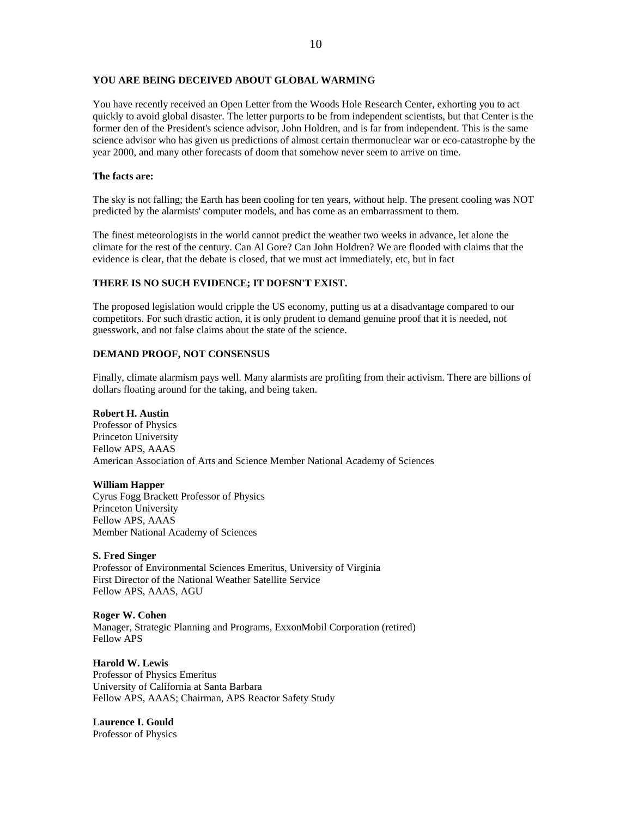## **YOU ARE BEING DECEIVED ABOUT GLOBAL WARMING**

You have recently received an Open Letter from the Woods Hole Research Center, exhorting you to act quickly to avoid global disaster. The letter purports to be from independent scientists, but that Center is the former den of the President's science advisor, John Holdren, and is far from independent. This is the same science advisor who has given us predictions of almost certain thermonuclear war or eco-catastrophe by the year 2000, and many other forecasts of doom that somehow never seem to arrive on time.

## **The facts are:**

The sky is not falling; the Earth has been cooling for ten years, without help. The present cooling was NOT predicted by the alarmists' computer models, and has come as an embarrassment to them.

The finest meteorologists in the world cannot predict the weather two weeks in advance, let alone the climate for the rest of the century. Can Al Gore? Can John Holdren? We are flooded with claims that the evidence is clear, that the debate is closed, that we must act immediately, etc, but in fact

## **THERE IS NO SUCH EVIDENCE; IT DOESN'T EXIST.**

The proposed legislation would cripple the US economy, putting us at a disadvantage compared to our competitors. For such drastic action, it is only prudent to demand genuine proof that it is needed, not guesswork, and not false claims about the state of the science.

## **DEMAND PROOF, NOT CONSENSUS**

Finally, climate alarmism pays well. Many alarmists are profiting from their activism. There are billions of dollars floating around for the taking, and being taken.

### **Robert H. Austin**

Professor of Physics Princeton University Fellow APS, AAAS American Association of Arts and Science Member National Academy of Sciences

### **William Happer**

Cyrus Fogg Brackett Professor of Physics Princeton University Fellow APS, AAAS Member National Academy of Sciences

## **S. Fred Singer**

Professor of Environmental Sciences Emeritus, University of Virginia First Director of the National Weather Satellite Service Fellow APS, AAAS, AGU

# **Roger W. Cohen**

Manager, Strategic Planning and Programs, ExxonMobil Corporation (retired) Fellow APS

**Harold W. Lewis** Professor of Physics Emeritus University of California at Santa Barbara Fellow APS, AAAS; Chairman, APS Reactor Safety Study

**Laurence I. Gould** Professor of Physics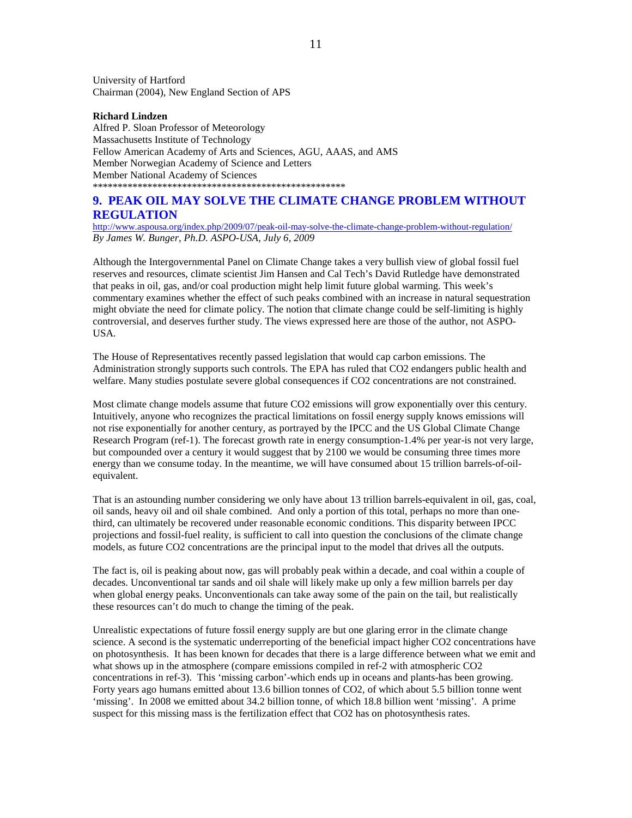University of Hartford Chairman (2004), New England Section of APS

## **Richard Lindzen**

Alfred P. Sloan Professor of Meteorology Massachusetts Institute of Technology Fellow American Academy of Arts and Sciences, AGU, AAAS, and AMS Member Norwegian Academy of Science and Letters Member National Academy of Sciences \*\*\*\*\*\*\*\*\*\*\*\*\*\*\*\*\*\*\*\*\*\*\*\*\*\*\*\*\*\*\*\*\*\*\*\*\*\*\*\*\*\*\*\*\*\*\*\*\*\*\*

## **9. PEAK OIL MAY SOLVE THE CLIMATE CHANGE PROBLEM WITHOUT REGULATION**

http://www.aspousa.org/index.php/2009/07/peak-oil-may-solve-the-climate-change-problem-without-regulation/ *By James W. Bunger, Ph.D. ASPO-USA, July 6, 2009* 

Although the Intergovernmental Panel on Climate Change takes a very bullish view of global fossil fuel reserves and resources, climate scientist Jim Hansen and Cal Tech's David Rutledge have demonstrated that peaks in oil, gas, and/or coal production might help limit future global warming. This week's commentary examines whether the effect of such peaks combined with an increase in natural sequestration might obviate the need for climate policy. The notion that climate change could be self-limiting is highly controversial, and deserves further study. The views expressed here are those of the author, not ASPO-USA.

The House of Representatives recently passed legislation that would cap carbon emissions. The Administration strongly supports such controls. The EPA has ruled that CO2 endangers public health and welfare. Many studies postulate severe global consequences if CO2 concentrations are not constrained.

Most climate change models assume that future CO2 emissions will grow exponentially over this century. Intuitively, anyone who recognizes the practical limitations on fossil energy supply knows emissions will not rise exponentially for another century, as portrayed by the IPCC and the US Global Climate Change Research Program (ref-1). The forecast growth rate in energy consumption-1.4% per year-is not very large, but compounded over a century it would suggest that by 2100 we would be consuming three times more energy than we consume today. In the meantime, we will have consumed about 15 trillion barrels-of-oilequivalent.

That is an astounding number considering we only have about 13 trillion barrels-equivalent in oil, gas, coal, oil sands, heavy oil and oil shale combined. And only a portion of this total, perhaps no more than onethird, can ultimately be recovered under reasonable economic conditions. This disparity between IPCC projections and fossil-fuel reality, is sufficient to call into question the conclusions of the climate change models, as future CO2 concentrations are the principal input to the model that drives all the outputs.

The fact is, oil is peaking about now, gas will probably peak within a decade, and coal within a couple of decades. Unconventional tar sands and oil shale will likely make up only a few million barrels per day when global energy peaks. Unconventionals can take away some of the pain on the tail, but realistically these resources can't do much to change the timing of the peak.

Unrealistic expectations of future fossil energy supply are but one glaring error in the climate change science. A second is the systematic underreporting of the beneficial impact higher CO2 concentrations have on photosynthesis. It has been known for decades that there is a large difference between what we emit and what shows up in the atmosphere (compare emissions compiled in ref-2 with atmospheric CO2 concentrations in ref-3). This 'missing carbon'-which ends up in oceans and plants-has been growing. Forty years ago humans emitted about 13.6 billion tonnes of CO2, of which about 5.5 billion tonne went 'missing'. In 2008 we emitted about 34.2 billion tonne, of which 18.8 billion went 'missing'. A prime suspect for this missing mass is the fertilization effect that CO2 has on photosynthesis rates.